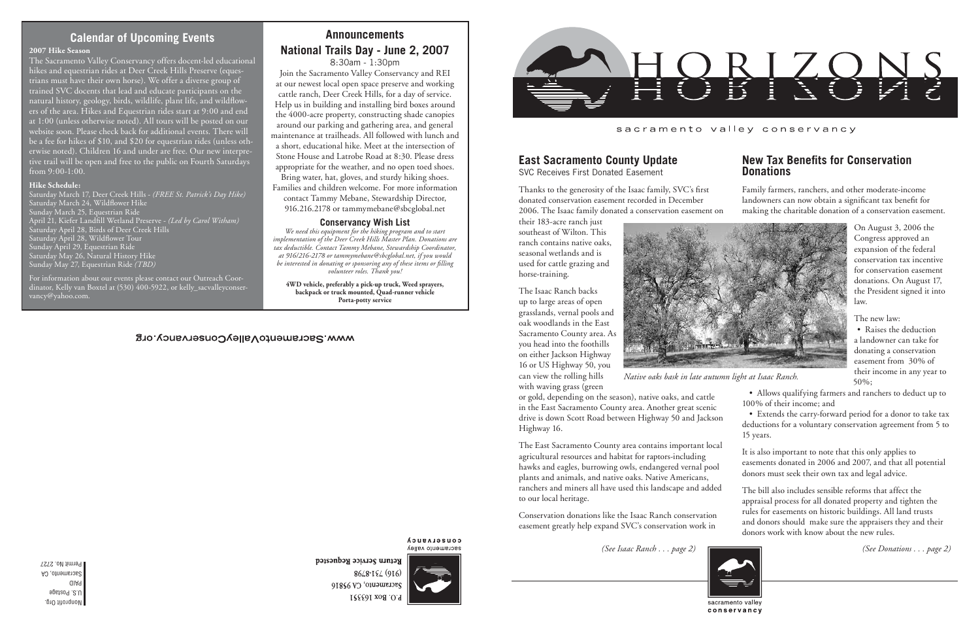Nonprofit Org. U.S. Postage PAID Sacramento, CA Permit No. 2727

#### sacramento valley conservancy

## **Calendar of Upcoming Events**

*(See Isaac Ranch . . . page 2) (See Donations . . . page 2)*



conservancy

Return Service Requested



*Native oaks bask in late autumn light at Isaac Ranch.*

### **New Tax Benefits for Conservation Donations**

Family farmers, ranchers, and other moderate-income landowners can now obtain a significant tax benefit for making the charitable donation of a conservation easement.

On August 3, 2006 the Congress approved an expansion of the federal conservation tax incentive for conservation easement donations. On August 17, the President signed it into law.

The new law:

• Raises the deduction a landowner can take for donating a conservation easement from 30% of their income in any year to 50%;

• Allows qualifying farmers and ranchers to deduct up to 100% of their income; and

• Extends the carry-forward period for a donor to take tax deductions for a voluntary conservation agreement from 5 to 15 years.

It is also important to note that this only applies to easements donated in 2006 and 2007, and that all potential donors must seek their own tax and legal advice.

## **East Sacramento County Update**

SVC Receives First Donated Easement

Thanks to the generosity of the Isaac family, SVC's first donated conservation easement recorded in December 2006. The Isaac family donated a conservation easement on

their 183-acre ranch just southeast of Wilton. This ranch contains native oaks, seasonal wetlands and is used for cattle grazing and horse-training.

The bill also includes sensible reforms that affect the appraisal process for all donated property and tighten the rules for easements on historic buildings. All land trusts and donors should make sure the appraisers they and their donors work with know about the new rules. to our local heritage. Conservation donations like the Isaac Ranch conservation easement greatly help expand SVC's conservation work in

The Isaac Ranch backs up to large areas of open grasslands, vernal pools and oak woodlands in the East Sacramento County area. As you head into the foothills on either Jackson Highway 16 or US Highway 50, you can view the rolling hills

with waving grass (green

or gold, depending on the season), native oaks, and cattle in the East Sacramento County area. Another great scenic drive is down Scott Road between Highway 50 and Jackson Highway 16.

The East Sacramento County area contains important local agricultural resources and habitat for raptors-including hawks and eagles, burrowing owls, endangered vernal pool plants and animals, and native oaks. Native Americans, ranchers and miners all have used this landscape and added

# **AnnouncementsNational Trails Day - June 2, 2007**

8:30am - 1:30pm

Join the Sacramento Valley Conservancy and REI at our newest local open space preserve and working cattle ranch, Deer Creek Hills, for a day of service. Help us in building and installing bird boxes around the 4000-acre property, constructing shade canopies around our parking and gathering area, and general maintenance at trailheads. All followed with lunch and a short, educational hike. Meet at the intersection of Stone House and Latrobe Road at 8:30. Please dress appropriate for the weather, and no open toed shoes.

Bring water, hat, gloves, and sturdy hiking shoes. Families and children welcome. For more information contact Tammy Mebane, Stewardship Director, 916.216.2178 or tammymebane@sbcglobal.net

#### **Conservancy Wish List**

*We need this equipment for the hiking program and to start implementation of the Deer Creek Hills Master Plan. Donations are tax deductible. Contact Tammy Mebane, Stewardship Coordinator, at 916/216-2178 or tammymebane@sbcglobal.net, if you would be interested in donating or sponsoring any of these items or filling volunteer roles. Thank you!*

**4WD vehicle, preferably a pick-up truck, Weed sprayers, backpack or truck mounted, Quad-runner vehicle Porta-potty service**

#### WWW.SacramentoValleVConservancy.org

conservancy Sacramento valley

8648-194 (916) Sacramento, CA 95816 P.O. Box 163551



#### **2007 Hike Season**

The Sacramento Valley Conservancy offers docent-led educational hikes and equestrian rides at Deer Creek Hills Preserve (equestrians must have their own horse). We offer a diverse group of trained SVC docents that lead and educate participants on the natural history, geology, birds, wildlife, plant life, and wildflowers of the area. Hikes and Equestrian rides start at 9:00 and end at 1:00 (unless otherwise noted). All tours will be posted on our website soon. Please check back for additional events. There will be a fee for hikes of \$10, and \$20 for equestrian rides (unless otherwise noted). Children 16 and under are free. Our new interpretive trail will be open and free to the public on Fourth Saturdays from 9:00-1:00.

#### **Hike Schedule:**

 Saturday March 17, Deer Creek Hills - *(FREE St. Patrick's Day Hike)* Saturday March 24, Wildflower Hike Sunday March 25, Equestrian Ride April 21, Kiefer Landfill Wetland Preserve - *(Led by Carol Witham)* aturday April 28, Birds of Deer Creek Hills Saturday April 28, Wildflower Tour Sunday April 29, Equestrian Ride Saturday May 26, Natural History Hike Sunday May 27, Equestrian Ride *(TBD)*

For information about our events please contact our Outreach Coordinator, Kelly van Boxtel at (530) 400-5922, or kelly\_sacvalleyconservancy@yahoo.com.